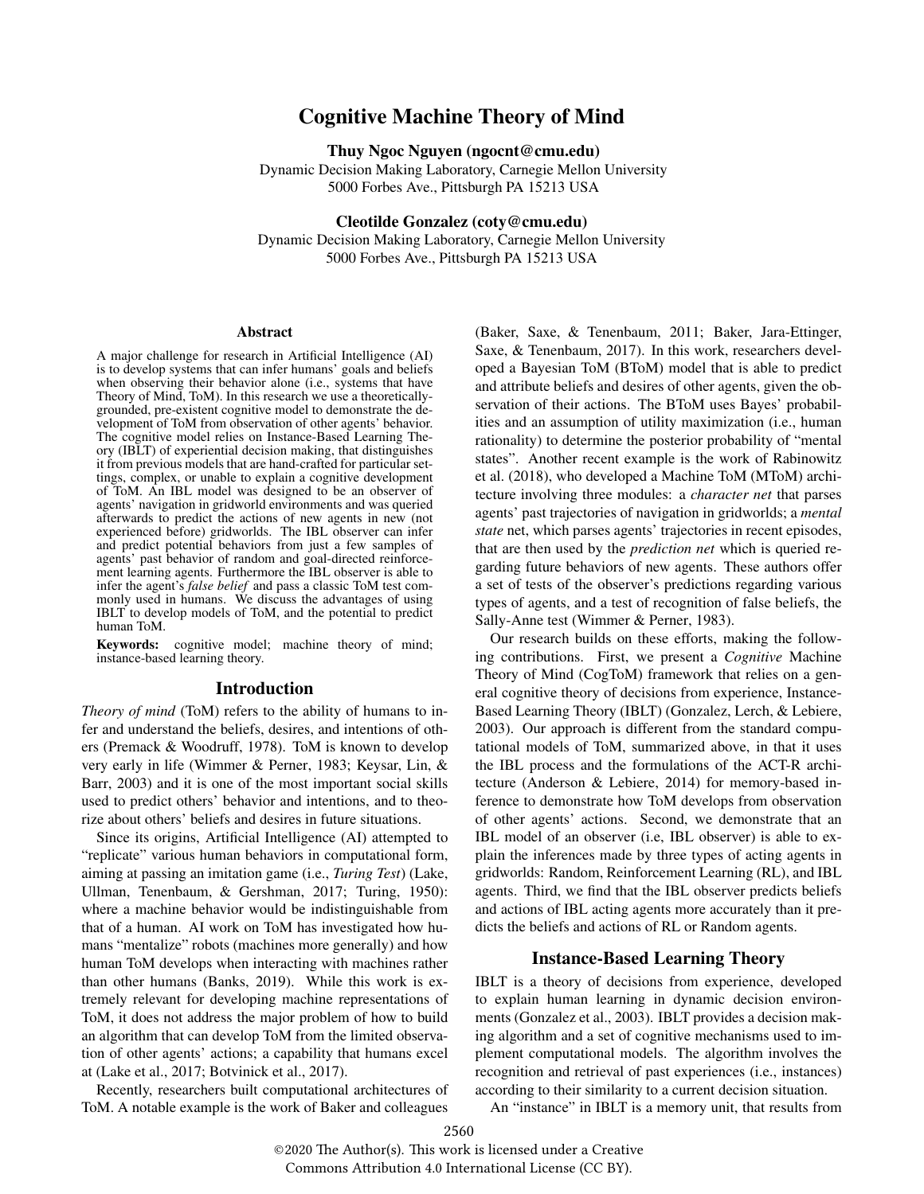# Cognitive Machine Theory of Mind

Thuy Ngoc Nguyen (ngocnt@cmu.edu)

Dynamic Decision Making Laboratory, Carnegie Mellon University 5000 Forbes Ave., Pittsburgh PA 15213 USA

Cleotilde Gonzalez (coty@cmu.edu)

Dynamic Decision Making Laboratory, Carnegie Mellon University 5000 Forbes Ave., Pittsburgh PA 15213 USA

#### Abstract

A major challenge for research in Artificial Intelligence (AI) is to develop systems that can infer humans' goals and beliefs when observing their behavior alone (i.e., systems that have Theory of Mind, ToM). In this research we use a theoreticallygrounded, pre-existent cognitive model to demonstrate the development of ToM from observation of other agents' behavior. The cognitive model relies on Instance-Based Learning Theory (IBLT) of experiential decision making, that distinguishes it from previous models that are hand-crafted for particular settings, complex, or unable to explain a cognitive development of ToM. An IBL model was designed to be an observer of agents' navigation in gridworld environments and was queried afterwards to predict the actions of new agents in new (not experienced before) gridworlds. The IBL observer can infer and predict potential behaviors from just a few samples of agents' past behavior of random and goal-directed reinforcement learning agents. Furthermore the IBL observer is able to infer the agent's *false belief* and pass a classic ToM test commonly used in humans. We discuss the advantages of using IBLT to develop models of ToM, and the potential to predict human ToM.

Keywords: cognitive model; machine theory of mind; instance-based learning theory.

#### Introduction

*Theory of mind* (ToM) refers to the ability of humans to infer and understand the beliefs, desires, and intentions of others (Premack & Woodruff, 1978). ToM is known to develop very early in life (Wimmer & Perner, 1983; Keysar, Lin, & Barr, 2003) and it is one of the most important social skills used to predict others' behavior and intentions, and to theorize about others' beliefs and desires in future situations.

Since its origins, Artificial Intelligence (AI) attempted to "replicate" various human behaviors in computational form, aiming at passing an imitation game (i.e., *Turing Test*) (Lake, Ullman, Tenenbaum, & Gershman, 2017; Turing, 1950): where a machine behavior would be indistinguishable from that of a human. AI work on ToM has investigated how humans "mentalize" robots (machines more generally) and how human ToM develops when interacting with machines rather than other humans (Banks, 2019). While this work is extremely relevant for developing machine representations of ToM, it does not address the major problem of how to build an algorithm that can develop ToM from the limited observation of other agents' actions; a capability that humans excel at (Lake et al., 2017; Botvinick et al., 2017).

Recently, researchers built computational architectures of ToM. A notable example is the work of Baker and colleagues (Baker, Saxe, & Tenenbaum, 2011; Baker, Jara-Ettinger, Saxe, & Tenenbaum, 2017). In this work, researchers developed a Bayesian ToM (BToM) model that is able to predict and attribute beliefs and desires of other agents, given the observation of their actions. The BToM uses Bayes' probabilities and an assumption of utility maximization (i.e., human rationality) to determine the posterior probability of "mental states". Another recent example is the work of Rabinowitz et al. (2018), who developed a Machine ToM (MToM) architecture involving three modules: a *character net* that parses agents' past trajectories of navigation in gridworlds; a *mental state* net, which parses agents' trajectories in recent episodes, that are then used by the *prediction net* which is queried regarding future behaviors of new agents. These authors offer a set of tests of the observer's predictions regarding various types of agents, and a test of recognition of false beliefs, the Sally-Anne test (Wimmer & Perner, 1983).

Our research builds on these efforts, making the following contributions. First, we present a *Cognitive* Machine Theory of Mind (CogToM) framework that relies on a general cognitive theory of decisions from experience, Instance-Based Learning Theory (IBLT) (Gonzalez, Lerch, & Lebiere, 2003). Our approach is different from the standard computational models of ToM, summarized above, in that it uses the IBL process and the formulations of the ACT-R architecture (Anderson & Lebiere, 2014) for memory-based inference to demonstrate how ToM develops from observation of other agents' actions. Second, we demonstrate that an IBL model of an observer (i.e, IBL observer) is able to explain the inferences made by three types of acting agents in gridworlds: Random, Reinforcement Learning (RL), and IBL agents. Third, we find that the IBL observer predicts beliefs and actions of IBL acting agents more accurately than it predicts the beliefs and actions of RL or Random agents.

#### Instance-Based Learning Theory

IBLT is a theory of decisions from experience, developed to explain human learning in dynamic decision environments (Gonzalez et al., 2003). IBLT provides a decision making algorithm and a set of cognitive mechanisms used to implement computational models. The algorithm involves the recognition and retrieval of past experiences (i.e., instances) according to their similarity to a current decision situation.

An "instance" in IBLT is a memory unit, that results from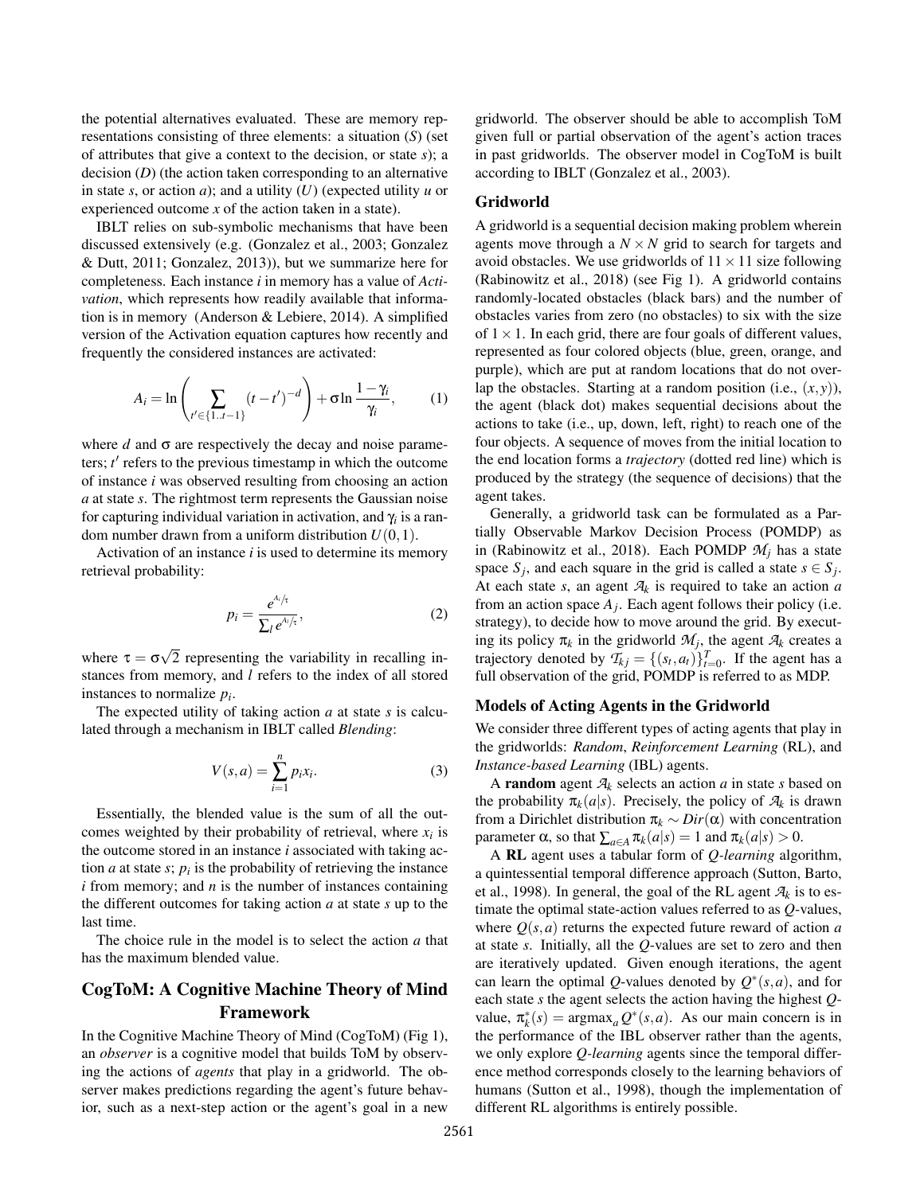the potential alternatives evaluated. These are memory representations consisting of three elements: a situation (*S*) (set of attributes that give a context to the decision, or state *s*); a decision (*D*) (the action taken corresponding to an alternative in state *s*, or action *a*); and a utility (*U*) (expected utility *u* or experienced outcome *x* of the action taken in a state).

IBLT relies on sub-symbolic mechanisms that have been discussed extensively (e.g. (Gonzalez et al., 2003; Gonzalez & Dutt, 2011; Gonzalez, 2013)), but we summarize here for completeness. Each instance *i* in memory has a value of *Activation*, which represents how readily available that information is in memory (Anderson & Lebiere, 2014). A simplified version of the Activation equation captures how recently and frequently the considered instances are activated:

$$
A_{i} = \ln \left( \sum_{t' \in \{1..t-1\}} (t - t')^{-d} \right) + \sigma \ln \frac{1 - \gamma_{i}}{\gamma_{i}}, \qquad (1)
$$

where  $d$  and  $\sigma$  are respectively the decay and noise parameters; *t'* refers to the previous timestamp in which the outcome of instance *i* was observed resulting from choosing an action *a* at state *s*. The rightmost term represents the Gaussian noise for capturing individual variation in activation, and γ*<sup>i</sup>* is a random number drawn from a uniform distribution  $U(0,1)$ .

Activation of an instance *i* is used to determine its memory retrieval probability:

$$
p_i = \frac{e^{A_i/\tau}}{\sum_l e^{A_l/\tau}},\tag{2}
$$

where  $\tau = \sigma$ √ 2 representing the variability in recalling instances from memory, and *l* refers to the index of all stored instances to normalize *p<sup>i</sup>* .

The expected utility of taking action *a* at state *s* is calculated through a mechanism in IBLT called *Blending*:

$$
V(s,a) = \sum_{i=1}^{n} p_i x_i.
$$
 (3)

Essentially, the blended value is the sum of all the outcomes weighted by their probability of retrieval, where  $x_i$  is the outcome stored in an instance *i* associated with taking action  $a$  at state  $s$ ;  $p_i$  is the probability of retrieving the instance *i* from memory; and *n* is the number of instances containing the different outcomes for taking action *a* at state *s* up to the last time.

The choice rule in the model is to select the action *a* that has the maximum blended value.

# CogToM: A Cognitive Machine Theory of Mind Framework

In the Cognitive Machine Theory of Mind (CogToM) (Fig 1), an *observer* is a cognitive model that builds ToM by observing the actions of *agents* that play in a gridworld. The observer makes predictions regarding the agent's future behavior, such as a next-step action or the agent's goal in a new

gridworld. The observer should be able to accomplish ToM given full or partial observation of the agent's action traces in past gridworlds. The observer model in CogToM is built according to IBLT (Gonzalez et al., 2003).

# Gridworld

A gridworld is a sequential decision making problem wherein agents move through a  $N \times N$  grid to search for targets and avoid obstacles. We use gridworlds of  $11 \times 11$  size following (Rabinowitz et al., 2018) (see Fig 1). A gridworld contains randomly-located obstacles (black bars) and the number of obstacles varies from zero (no obstacles) to six with the size of  $1 \times 1$ . In each grid, there are four goals of different values, represented as four colored objects (blue, green, orange, and purple), which are put at random locations that do not overlap the obstacles. Starting at a random position (i.e.,  $(x, y)$ ), the agent (black dot) makes sequential decisions about the actions to take (i.e., up, down, left, right) to reach one of the four objects. A sequence of moves from the initial location to the end location forms a *trajectory* (dotted red line) which is produced by the strategy (the sequence of decisions) that the agent takes.

Generally, a gridworld task can be formulated as a Partially Observable Markov Decision Process (POMDP) as in (Rabinowitz et al., 2018). Each POMDP  $M_i$  has a state space  $S_j$ , and each square in the grid is called a state  $s \in S_j$ . At each state *s*, an agent  $A_k$  is required to take an action *a* from an action space  $A_j$ . Each agent follows their policy (i.e. strategy), to decide how to move around the grid. By executing its policy  $\pi_k$  in the gridworld  $\mathcal{M}_j$ , the agent  $\mathcal{A}_k$  creates a trajectory denoted by  $T_{kj} = \{(s_t, a_t)\}_{t=0}^T$ . If the agent has a full observation of the grid, POMDP is referred to as MDP.

## Models of Acting Agents in the Gridworld

We consider three different types of acting agents that play in the gridworlds: *Random*, *Reinforcement Learning* (RL), and *Instance-based Learning* (IBL) agents.

A random agent *A<sup>k</sup>* selects an action *a* in state *s* based on the probability  $\pi_k(a|s)$ . Precisely, the policy of  $A_k$  is drawn from a Dirichlet distribution π*<sup>k</sup>* ∼ *Dir*(α) with concentration parameter  $\alpha$ , so that  $\sum_{a \in A} \pi_k(a|s) = 1$  and  $\pi_k(a|s) > 0$ .

A RL agent uses a tabular form of *Q-learning* algorithm, a quintessential temporal difference approach (Sutton, Barto, et al., 1998). In general, the goal of the RL agent  $\mathcal{A}_k$  is to estimate the optimal state-action values referred to as *Q*-values, where  $Q(s, a)$  returns the expected future reward of action *a* at state *s*. Initially, all the *Q*-values are set to zero and then are iteratively updated. Given enough iterations, the agent can learn the optimal Q-values denoted by  $Q^*(s, a)$ , and for each state *s* the agent selects the action having the highest *Q*value,  $\pi_k^*(s) = \text{argmax}_a Q^*(s, a)$ . As our main concern is in the performance of the IBL observer rather than the agents, we only explore *Q-learning* agents since the temporal difference method corresponds closely to the learning behaviors of humans (Sutton et al., 1998), though the implementation of different RL algorithms is entirely possible.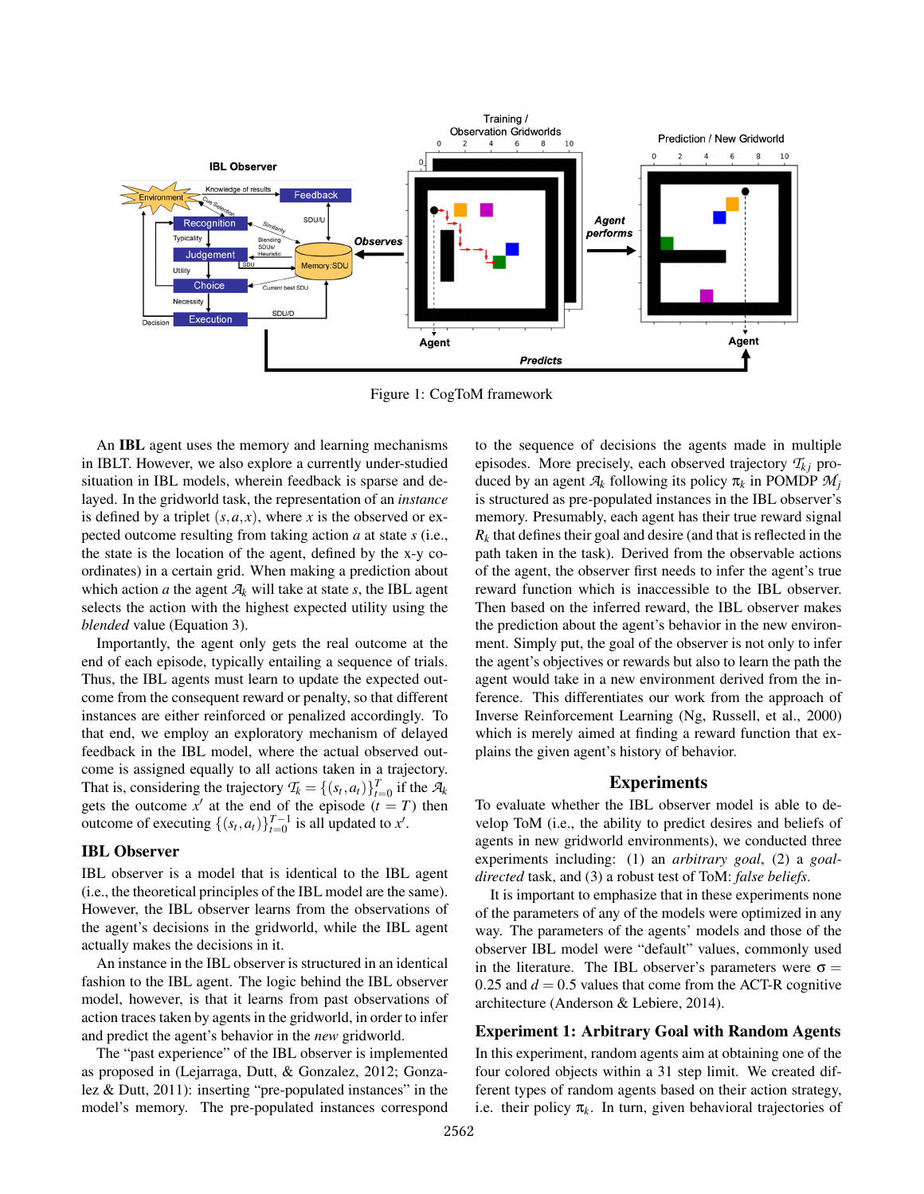

Figure 1: CogToM framework

An IBL agent uses the memory and learning mechanisms in IBLT. However, we also explore a currently under-studied situation in IBL models, wherein feedback is sparse and delayed. In the gridworld task, the representation of an *instance* is defined by a triplet  $(s, a, x)$ , where *x* is the observed or expected outcome resulting from taking action *a* at state *s* (i.e., the state is the location of the agent, defined by the x-y coordinates) in a certain grid. When making a prediction about which action *a* the agent  $A_k$  will take at state *s*, the IBL agent selects the action with the highest expected utility using the *blended* value (Equation 3).

Importantly, the agent only gets the real outcome at the end of each episode, typically entailing a sequence of trials. Thus, the IBL agents must learn to update the expected outcome from the consequent reward or penalty, so that different instances are either reinforced or penalized accordingly. To that end, we employ an exploratory mechanism of delayed feedback in the IBL model, where the actual observed outcome is assigned equally to all actions taken in a trajectory. That is, considering the trajectory  $T_k = \{(s_t, a_t)\}_{t=0}^T$  if the  $A_k$ gets the outcome  $x'$  at the end of the episode  $(t = T)$  then outcome of executing  $\{(s_t, a_t)\}_{t=0}^{T-1}$  is all updated to *x'*.

## IBL Observer

IBL observer is a model that is identical to the IBL agent (i.e., the theoretical principles of the IBL model are the same). However, the IBL observer learns from the observations of the agent's decisions in the gridworld, while the IBL agent actually makes the decisions in it.

An instance in the IBL observer is structured in an identical fashion to the IBL agent. The logic behind the IBL observer model, however, is that it learns from past observations of action traces taken by agents in the gridworld, in order to infer and predict the agent's behavior in the *new* gridworld.

The "past experience" of the IBL observer is implemented as proposed in (Lejarraga, Dutt, & Gonzalez, 2012; Gonzalez & Dutt, 2011): inserting "pre-populated instances" in the model's memory. The pre-populated instances correspond to the sequence of decisions the agents made in multiple episodes. More precisely, each observed trajectory  $T_{ki}$  produced by an agent  $A_k$  following its policy  $\pi_k$  in POMDP  $M_i$ is structured as pre-populated instances in the IBL observer's memory. Presumably, each agent has their true reward signal  $R_k$  that defines their goal and desire (and that is reflected in the path taken in the task). Derived from the observable actions of the agent, the observer first needs to infer the agent's true reward function which is inaccessible to the IBL observer. Then based on the inferred reward, the IBL observer makes the prediction about the agent's behavior in the new environment. Simply put, the goal of the observer is not only to infer the agent's objectives or rewards but also to learn the path the agent would take in a new environment derived from the inference. This differentiates our work from the approach of Inverse Reinforcement Learning (Ng, Russell, et al., 2000) which is merely aimed at finding a reward function that explains the given agent's history of behavior.

# Experiments

To evaluate whether the IBL observer model is able to develop ToM (i.e., the ability to predict desires and beliefs of agents in new gridworld environments), we conducted three experiments including: (1) an *arbitrary goal*, (2) a *goaldirected* task, and (3) a robust test of ToM: *false beliefs*.

It is important to emphasize that in these experiments none of the parameters of any of the models were optimized in any way. The parameters of the agents' models and those of the observer IBL model were "default" values, commonly used in the literature. The IBL observer's parameters were  $\sigma =$ 0.25 and  $d = 0.5$  values that come from the ACT-R cognitive architecture (Anderson & Lebiere, 2014).

## Experiment 1: Arbitrary Goal with Random Agents

In this experiment, random agents aim at obtaining one of the four colored objects within a 31 step limit. We created different types of random agents based on their action strategy, i.e. their policy  $\pi_k$ . In turn, given behavioral trajectories of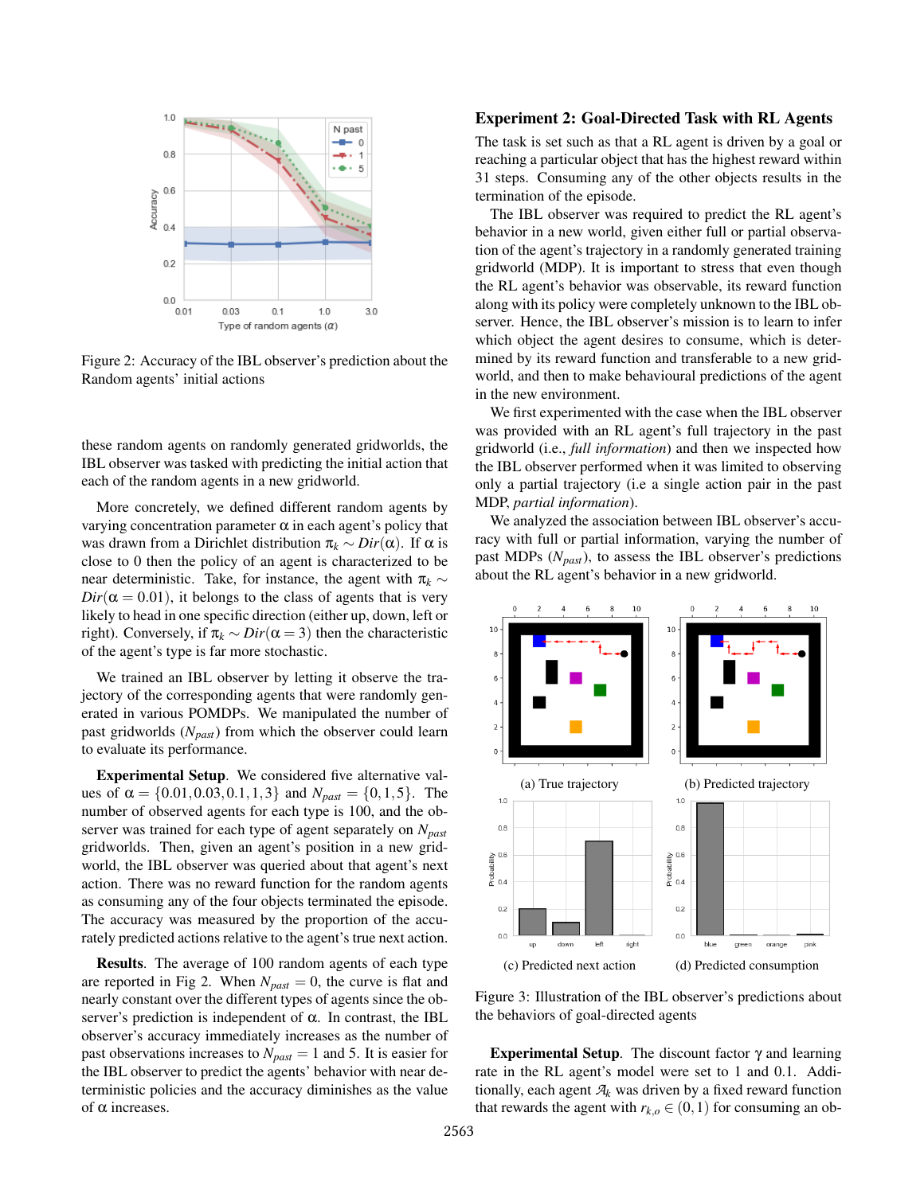

Figure 2: Accuracy of the IBL observer's prediction about the Random agents' initial actions

these random agents on randomly generated gridworlds, the IBL observer was tasked with predicting the initial action that each of the random agents in a new gridworld.

More concretely, we defined different random agents by varying concentration parameter  $\alpha$  in each agent's policy that was drawn from a Dirichlet distribution  $\pi_k \sim Dir(\alpha)$ . If  $\alpha$  is close to 0 then the policy of an agent is characterized to be near deterministic. Take, for instance, the agent with  $\pi_k \sim$  $Dir(\alpha = 0.01)$ , it belongs to the class of agents that is very likely to head in one specific direction (either up, down, left or right). Conversely, if  $\pi_k \sim Dir(\alpha = 3)$  then the characteristic of the agent's type is far more stochastic.

We trained an IBL observer by letting it observe the trajectory of the corresponding agents that were randomly generated in various POMDPs. We manipulated the number of past gridworlds (*Npast*) from which the observer could learn to evaluate its performance.

Experimental Setup. We considered five alternative values of  $\alpha = \{0.01, 0.03, 0.1, 1, 3\}$  and  $N_{past} = \{0, 1, 5\}$ . The number of observed agents for each type is 100, and the observer was trained for each type of agent separately on *Npast* gridworlds. Then, given an agent's position in a new gridworld, the IBL observer was queried about that agent's next action. There was no reward function for the random agents as consuming any of the four objects terminated the episode. The accuracy was measured by the proportion of the accurately predicted actions relative to the agent's true next action.

Results. The average of 100 random agents of each type are reported in Fig 2. When  $N_{past} = 0$ , the curve is flat and nearly constant over the different types of agents since the observer's prediction is independent of  $\alpha$ . In contrast, the IBL observer's accuracy immediately increases as the number of past observations increases to  $N_{past} = 1$  and 5. It is easier for the IBL observer to predict the agents' behavior with near deterministic policies and the accuracy diminishes as the value of  $α$  increases.

## Experiment 2: Goal-Directed Task with RL Agents

The task is set such as that a RL agent is driven by a goal or reaching a particular object that has the highest reward within 31 steps. Consuming any of the other objects results in the termination of the episode.

The IBL observer was required to predict the RL agent's behavior in a new world, given either full or partial observation of the agent's trajectory in a randomly generated training gridworld (MDP). It is important to stress that even though the RL agent's behavior was observable, its reward function along with its policy were completely unknown to the IBL observer. Hence, the IBL observer's mission is to learn to infer which object the agent desires to consume, which is determined by its reward function and transferable to a new gridworld, and then to make behavioural predictions of the agent in the new environment.

We first experimented with the case when the IBL observer was provided with an RL agent's full trajectory in the past gridworld (i.e., *full information*) and then we inspected how the IBL observer performed when it was limited to observing only a partial trajectory (i.e a single action pair in the past MDP, *partial information*).

We analyzed the association between IBL observer's accuracy with full or partial information, varying the number of past MDPs (*Npast*), to assess the IBL observer's predictions about the RL agent's behavior in a new gridworld.



Figure 3: Illustration of the IBL observer's predictions about the behaviors of goal-directed agents

Experimental Setup. The discount factor  $\gamma$  and learning rate in the RL agent's model were set to 1 and 0.1. Additionally, each agent  $A_k$  was driven by a fixed reward function that rewards the agent with  $r_{k,o} \in (0,1)$  for consuming an ob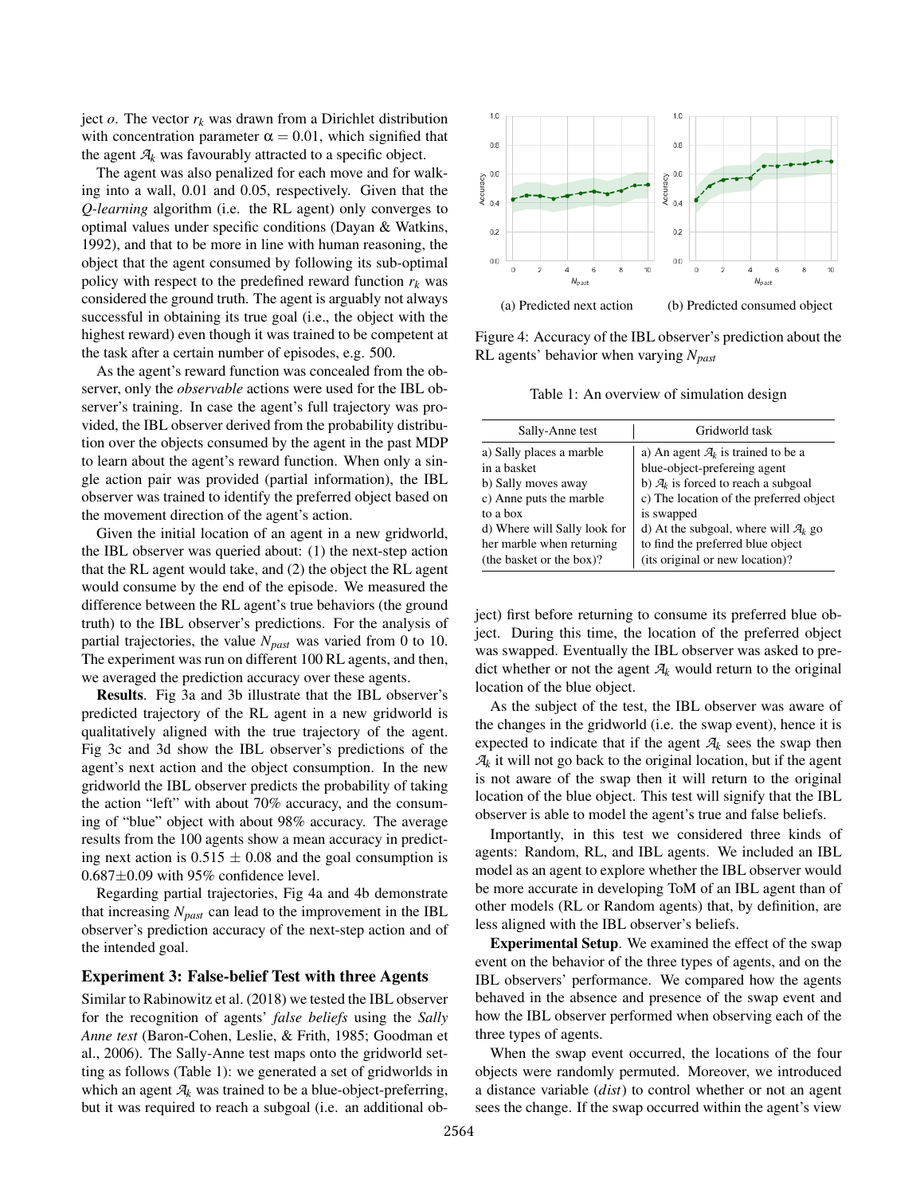ject  $o$ . The vector  $r_k$  was drawn from a Dirichlet distribution with concentration parameter  $\alpha = 0.01$ , which signified that the agent  $A_k$  was favourably attracted to a specific object.

The agent was also penalized for each move and for walking into a wall, 0.01 and 0.05, respectively. Given that the *Q-learning* algorithm (i.e. the RL agent) only converges to optimal values under specific conditions (Dayan & Watkins, 1992), and that to be more in line with human reasoning, the object that the agent consumed by following its sub-optimal policy with respect to the predefined reward function  $r_k$  was considered the ground truth. The agent is arguably not always successful in obtaining its true goal (i.e., the object with the highest reward) even though it was trained to be competent at the task after a certain number of episodes, e.g. 500.

As the agent's reward function was concealed from the observer, only the *observable* actions were used for the IBL observer's training. In case the agent's full trajectory was provided, the IBL observer derived from the probability distribution over the objects consumed by the agent in the past MDP to learn about the agent's reward function. When only a single action pair was provided (partial information), the IBL observer was trained to identify the preferred object based on the movement direction of the agent's action.

Given the initial location of an agent in a new gridworld, the IBL observer was queried about: (1) the next-step action that the RL agent would take, and (2) the object the RL agent would consume by the end of the episode. We measured the difference between the RL agent's true behaviors (the ground truth) to the IBL observer's predictions. For the analysis of partial trajectories, the value *Npast* was varied from 0 to 10. The experiment was run on different 100 RL agents, and then, we averaged the prediction accuracy over these agents.

Results. Fig 3a and 3b illustrate that the IBL observer's predicted trajectory of the RL agent in a new gridworld is qualitatively aligned with the true trajectory of the agent. Fig 3c and 3d show the IBL observer's predictions of the agent's next action and the object consumption. In the new gridworld the IBL observer predicts the probability of taking the action "left" with about 70% accuracy, and the consuming of "blue" object with about 98% accuracy. The average results from the 100 agents show a mean accuracy in predicting next action is  $0.515 \pm 0.08$  and the goal consumption is  $0.687\pm0.09$  with 95% confidence level.

Regarding partial trajectories, Fig 4a and 4b demonstrate that increasing *Npast* can lead to the improvement in the IBL observer's prediction accuracy of the next-step action and of the intended goal.

## Experiment 3: False-belief Test with three Agents

Similar to Rabinowitz et al. (2018) we tested the IBL observer for the recognition of agents' *false beliefs* using the *Sally Anne test* (Baron-Cohen, Leslie, & Frith, 1985; Goodman et al., 2006). The Sally-Anne test maps onto the gridworld setting as follows (Table 1): we generated a set of gridworlds in which an agent  $A_k$  was trained to be a blue-object-preferring, but it was required to reach a subgoal (i.e. an additional ob-



Figure 4: Accuracy of the IBL observer's prediction about the RL agents' behavior when varying *Npast*

Table 1: An overview of simulation design

| Sally-Anne test              | Gridworld task                                   |
|------------------------------|--------------------------------------------------|
| a) Sally places a marble     | a) An agent $\mathcal{A}_k$ is trained to be a   |
| in a basket                  | blue-object-prefereing agent                     |
| b) Sally moves away          | b) $\mathcal{A}_k$ is forced to reach a subgoal  |
| c) Anne puts the marble      | c) The location of the preferred object          |
| to a box                     | is swapped                                       |
| d) Where will Sally look for | d) At the subgoal, where will $\mathcal{A}_k$ go |
| her marble when returning    | to find the preferred blue object                |
| (the basket or the box)?     | (its original or new location)?                  |

ject) first before returning to consume its preferred blue object. During this time, the location of the preferred object was swapped. Eventually the IBL observer was asked to predict whether or not the agent  $A_k$  would return to the original location of the blue object.

As the subject of the test, the IBL observer was aware of the changes in the gridworld (i.e. the swap event), hence it is expected to indicate that if the agent  $A_k$  sees the swap then  $A_k$  it will not go back to the original location, but if the agent is not aware of the swap then it will return to the original location of the blue object. This test will signify that the IBL observer is able to model the agent's true and false beliefs.

Importantly, in this test we considered three kinds of agents: Random, RL, and IBL agents. We included an IBL model as an agent to explore whether the IBL observer would be more accurate in developing ToM of an IBL agent than of other models (RL or Random agents) that, by definition, are less aligned with the IBL observer's beliefs.

Experimental Setup. We examined the effect of the swap event on the behavior of the three types of agents, and on the IBL observers' performance. We compared how the agents behaved in the absence and presence of the swap event and how the IBL observer performed when observing each of the three types of agents.

When the swap event occurred, the locations of the four objects were randomly permuted. Moreover, we introduced a distance variable (*dist*) to control whether or not an agent sees the change. If the swap occurred within the agent's view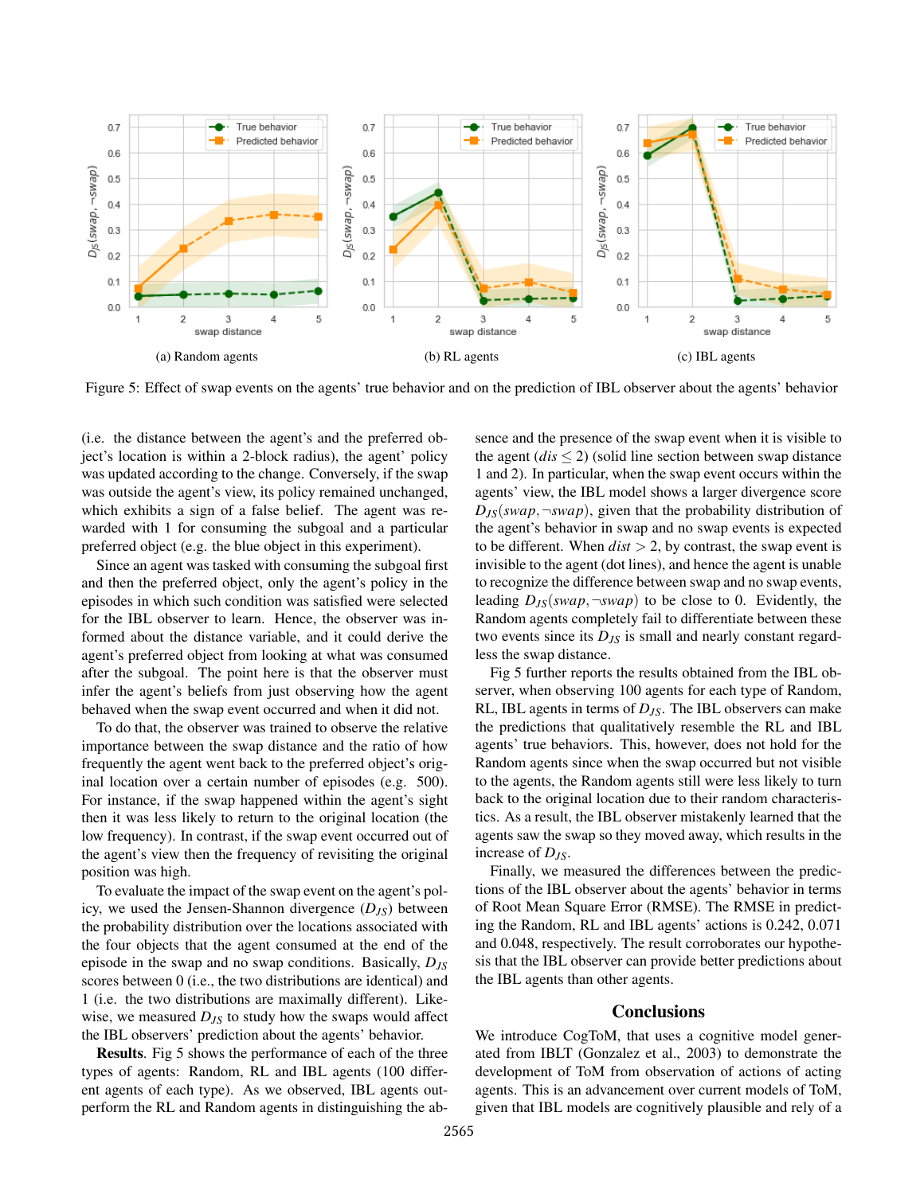

Figure 5: Effect of swap events on the agents' true behavior and on the prediction of IBL observer about the agents' behavior

(i.e. the distance between the agent's and the preferred object's location is within a 2-block radius), the agent' policy was updated according to the change. Conversely, if the swap was outside the agent's view, its policy remained unchanged, which exhibits a sign of a false belief. The agent was rewarded with 1 for consuming the subgoal and a particular preferred object (e.g. the blue object in this experiment).

Since an agent was tasked with consuming the subgoal first and then the preferred object, only the agent's policy in the episodes in which such condition was satisfied were selected for the IBL observer to learn. Hence, the observer was informed about the distance variable, and it could derive the agent's preferred object from looking at what was consumed after the subgoal. The point here is that the observer must infer the agent's beliefs from just observing how the agent behaved when the swap event occurred and when it did not.

To do that, the observer was trained to observe the relative importance between the swap distance and the ratio of how frequently the agent went back to the preferred object's original location over a certain number of episodes (e.g. 500). For instance, if the swap happened within the agent's sight then it was less likely to return to the original location (the low frequency). In contrast, if the swap event occurred out of the agent's view then the frequency of revisiting the original position was high.

To evaluate the impact of the swap event on the agent's policy, we used the Jensen-Shannon divergence (*DJS*) between the probability distribution over the locations associated with the four objects that the agent consumed at the end of the episode in the swap and no swap conditions. Basically, *DJS* scores between 0 (i.e., the two distributions are identical) and 1 (i.e. the two distributions are maximally different). Likewise, we measured *DJS* to study how the swaps would affect the IBL observers' prediction about the agents' behavior.

Results. Fig 5 shows the performance of each of the three types of agents: Random, RL and IBL agents (100 different agents of each type). As we observed, IBL agents outperform the RL and Random agents in distinguishing the absence and the presence of the swap event when it is visible to the agent  $(dis \leq 2)$  (solid line section between swap distance 1 and 2). In particular, when the swap event occurs within the agents' view, the IBL model shows a larger divergence score  $D_{JS}(swap, \neg swap)$ , given that the probability distribution of the agent's behavior in swap and no swap events is expected to be different. When  $dist > 2$ , by contrast, the swap event is invisible to the agent (dot lines), and hence the agent is unable to recognize the difference between swap and no swap events, leading  $D_{IS}(swap, \neg swap)$  to be close to 0. Evidently, the Random agents completely fail to differentiate between these two events since its  $D_{JS}$  is small and nearly constant regardless the swap distance.

Fig 5 further reports the results obtained from the IBL observer, when observing 100 agents for each type of Random, RL, IBL agents in terms of *DJS*. The IBL observers can make the predictions that qualitatively resemble the RL and IBL agents' true behaviors. This, however, does not hold for the Random agents since when the swap occurred but not visible to the agents, the Random agents still were less likely to turn back to the original location due to their random characteristics. As a result, the IBL observer mistakenly learned that the agents saw the swap so they moved away, which results in the increase of *DJS*.

Finally, we measured the differences between the predictions of the IBL observer about the agents' behavior in terms of Root Mean Square Error (RMSE). The RMSE in predicting the Random, RL and IBL agents' actions is 0.242, 0.071 and 0.048, respectively. The result corroborates our hypothesis that the IBL observer can provide better predictions about the IBL agents than other agents.

## **Conclusions**

We introduce CogToM, that uses a cognitive model generated from IBLT (Gonzalez et al., 2003) to demonstrate the development of ToM from observation of actions of acting agents. This is an advancement over current models of ToM, given that IBL models are cognitively plausible and rely of a